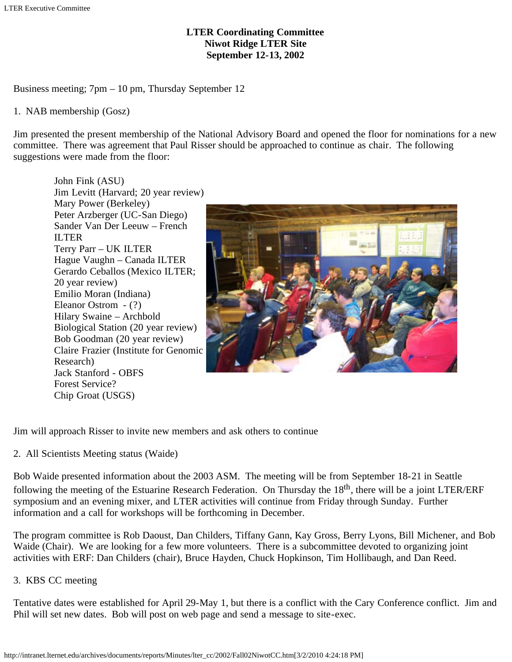## **LTER Coordinating Committee Niwot Ridge LTER Site September 12-13, 2002**

Business meeting; 7pm – 10 pm, Thursday September 12

#### 1. NAB membership (Gosz)

Jim presented the present membership of the National Advisory Board and opened the floor for nominations for a new committee. There was agreement that Paul Risser should be approached to continue as chair. The following suggestions were made from the floor:

John Fink (ASU) Jim Levitt (Harvard; 20 year review) Mary Power (Berkeley) Peter Arzberger (UC-San Diego) Sander Van Der Leeuw – French ILTER Terry Parr – UK ILTER Hague Vaughn – Canada ILTER Gerardo Ceballos (Mexico ILTER; 20 year review) Emilio Moran (Indiana) Eleanor Ostrom - (?) Hilary Swaine – Archbold Biological Station (20 year review) Bob Goodman (20 year review) Claire Frazier (Institute for Genomic Research) Jack Stanford - OBFS Forest Service? Chip Groat (USGS)



Jim will approach Risser to invite new members and ask others to continue

2. All Scientists Meeting status (Waide)

Bob Waide presented information about the 2003 ASM. The meeting will be from September 18-21 in Seattle following the meeting of the Estuarine Research Federation. On Thursday the  $18<sup>th</sup>$ , there will be a joint LTER/ERF symposium and an evening mixer, and LTER activities will continue from Friday through Sunday. Further information and a call for workshops will be forthcoming in December.

The program committee is Rob Daoust, Dan Childers, Tiffany Gann, Kay Gross, Berry Lyons, Bill Michener, and Bob Waide (Chair). We are looking for a few more volunteers. There is a subcommittee devoted to organizing joint activities with ERF: Dan Childers (chair), Bruce Hayden, Chuck Hopkinson, Tim Hollibaugh, and Dan Reed.

## 3. KBS CC meeting

Tentative dates were established for April 29-May 1, but there is a conflict with the Cary Conference conflict.Jim and Phil will set new dates. Bob will post on web page and send a message to site-exec.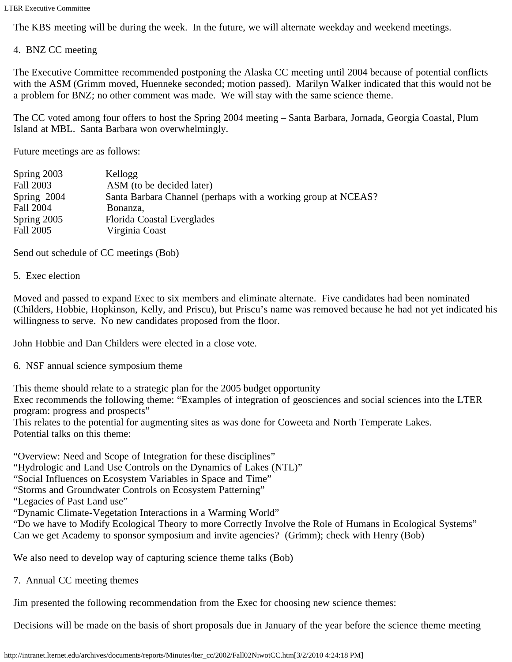The KBS meeting will be during the week. In the future, we will alternate weekday and weekend meetings.

#### 4. BNZ CC meeting

The Executive Committee recommended postponing the Alaska CC meeting until 2004 because of potential conflicts with the ASM (Grimm moved, Huenneke seconded; motion passed). Marilyn Walker indicated that this would not be a problem for BNZ; no other comment was made. We will stay with the same science theme.

The CC voted among four offers to host the Spring 2004 meeting – Santa Barbara, Jornada, Georgia Coastal, Plum Island at MBL. Santa Barbara won overwhelmingly.

Future meetings are as follows:

| Spring 2003 | Kellogg                                                       |
|-------------|---------------------------------------------------------------|
| Fall 2003   | ASM (to be decided later)                                     |
| Spring 2004 | Santa Barbara Channel (perhaps with a working group at NCEAS? |
| Fall 2004   | Bonanza,                                                      |
| Spring 2005 | Florida Coastal Everglades                                    |
| Fall 2005   | Virginia Coast                                                |

Send out schedule of CC meetings (Bob)

5. Exec election

Moved and passed to expand Exec to six members and eliminate alternate. Five candidates had been nominated (Childers, Hobbie, Hopkinson, Kelly, and Priscu), but Priscu's name was removed because he had not yet indicated his willingness to serve. No new candidates proposed from the floor.

John Hobbie and Dan Childers were elected in a close vote.

6. NSF annual science symposium theme

This theme should relate to a strategic plan for the 2005 budget opportunity

Exec recommends the following theme: "Examples of integration of geosciences and social sciences into the LTER program: progress and prospects"

This relates to the potential for augmenting sites as was done for Coweeta and North Temperate Lakes. Potential talks on this theme:

"Overview: Need and Scope of Integration for these disciplines"

"Hydrologic and Land Use Controls on the Dynamics of Lakes (NTL)"

"Social Influences on Ecosystem Variables in Space and Time"

"Storms and Groundwater Controls on Ecosystem Patterning"

"Legacies of Past Land use"

"Dynamic Climate-Vegetation Interactions in a Warming World"

"Do we have to Modify Ecological Theory to more Correctly Involve the Role of Humans in Ecological Systems" Can we get Academy to sponsor symposium and invite agencies? (Grimm); check with Henry (Bob)

We also need to develop way of capturing science theme talks (Bob)

7. Annual CC meeting themes

Jim presented the following recommendation from the Exec for choosing new science themes:

Decisions will be made on the basis of short proposals due in January of the year before the science theme meeting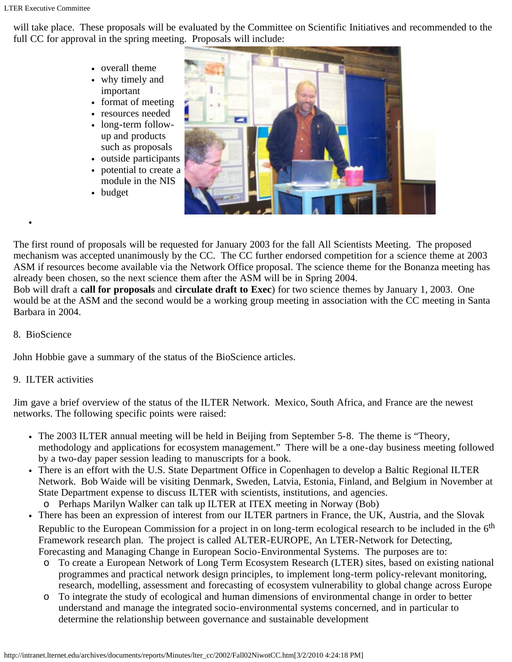will take place. These proposals will be evaluated by the Committee on Scientific Initiatives and recommended to the full CC for approval in the spring meeting. Proposals will include:

- overall theme
- why timely and important
- format of meeting
- resources needed
- long-term followup and products such as proposals
- outside participants
- potential to create a module in the NIS
- budget



The first round of proposals will be requested for January 2003 for the fall All Scientists Meeting. The proposed mechanism was accepted unanimously by the CC. The CC further endorsed competition for a science theme at 2003 ASM if resources become available via the Network Office proposal. The science theme for the Bonanza meeting has already been chosen, so the next science them after the ASM will be in Spring 2004.

Bob will draft a **call for proposals** and **circulate draft to Exec**) for two science themes by January 1, 2003. One would be at the ASM and the second would be a working group meeting in association with the CC meeting in Santa Barbara in 2004.

#### 8. BioScience

John Hobbie gave a summary of the status of the BioScience articles.

## 9. ILTER activities

Jim gave a brief overview of the status of the ILTER Network. Mexico, South Africa, and France are the newest networks. The following specific points were raised:

- The 2003 ILTER annual meeting will be held in Beijing from September 5-8. The theme is "Theory, methodology and applications for ecosystem management." There will be a one-day business meeting followed by a two-day paper session leading to manuscripts for a book.
- There is an effort with the U.S. State Department Office in Copenhagen to develop a Baltic Regional ILTER Network. Bob Waide will be visiting Denmark, Sweden, Latvia, Estonia, Finland, and Belgium in November at State Department expense to discuss ILTER with scientists, institutions, and agencies.
	- o Perhaps Marilyn Walker can talk up ILTER at ITEX meeting in Norway (Bob)
- There has been an expression of interest from our ILTER partners in France, the UK, Austria, and the Slovak Republic to the European Commission for a project in on long-term ecological research to be included in the 6<sup>th</sup> Framework research plan. The project is called ALTER-EUROPE, An LTER-Network for Detecting, Forecasting and Managing Change in European Socio-Environmental Systems. The purposes are to:
	- o To create a European Network of Long Term Ecosystem Research (LTER) sites, based on existing national programmes and practical network design principles, to implement long-term policy-relevant monitoring, research, modelling, assessment and forecasting of ecosystem vulnerability to global change across Europe
	- o To integrate the study of ecological and human dimensions of environmental change in order to better understand and manage the integrated socio-environmental systems concerned, and in particular to determine the relationship between governance and sustainable development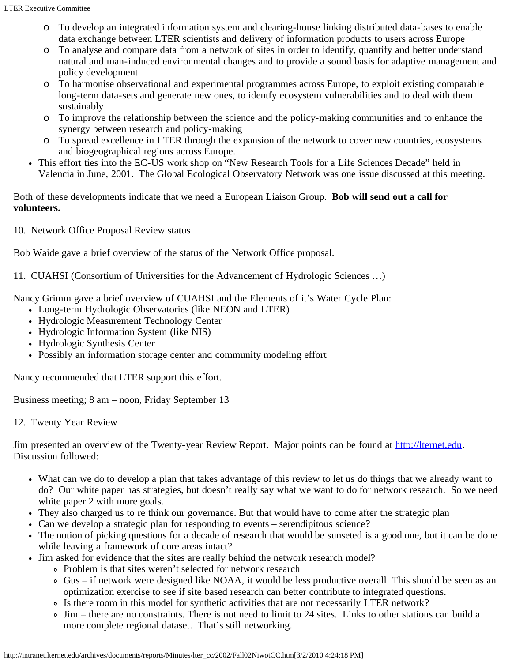- To develop an integrated information system and clearing-house linking distributed data-bases to enable data exchange between LTER scientists and delivery of information products to users across Europe
- o To analyse and compare data from a network of sites in order to identify, quantify and better understand natural and man-induced environmental changes and to provide a sound basis for adaptive management and policy development
- o To harmonise observational and experimental programmes across Europe, to exploit existing comparable long-term data-sets and generate new ones, to identfy ecosystem vulnerabilities and to deal with them sustainably
- o To improve the relationship between the science and the policy-making communities and to enhance the synergy between research and policy-making
- o To spread excellence in LTER through the expansion of the network to cover new countries, ecosystems and biogeographical regions across Europe.
- This effort ties into the EC-US work shop on "New Research Tools for a Life Sciences Decade" held in Valencia in June, 2001. The Global Ecological Observatory Network was one issue discussed at this meeting.

### Both of these developments indicate that we need a European Liaison Group. **Bob will send out a call for volunteers.**

10. Network Office Proposal Review status

Bob Waide gave a brief overview of the status of the Network Office proposal.

11. CUAHSI (Consortium of Universities for the Advancement of Hydrologic Sciences …)

Nancy Grimm gave a brief overview of CUAHSI and the Elements of it's Water Cycle Plan:

- Long-term Hydrologic Observatories (like NEON and LTER)
- Hydrologic Measurement Technology Center
- Hydrologic Information System (like NIS)
- Hydrologic Synthesis Center
- Possibly an information storage center and community modeling effort

Nancy recommended that LTER support this effort.

Business meeting; 8 am – noon, Friday September 13

12. Twenty Year Review

Jim presented an overview of the Twenty-year Review Report. Major points can be found at [http://lternet.edu](http://lternet.edu/). Discussion followed:

- What can we do to develop a plan that takes advantage of this review to let us do things that we already want to do? Our white paper has strategies, but doesn't really say what we want to do for network research. So we need white paper 2 with more goals.
- They also charged us to re think our governance. But that would have to come after the strategic plan
- Can we develop a strategic plan for responding to events serendipitous science?
- The notion of picking questions for a decade of research that would be sunseted is a good one, but it can be done while leaving a framework of core areas intact?
- Jim asked for evidence that the sites are really behind the network research model?
	- Problem is that sites weren't selected for network research
	- Gus if network were designed like NOAA, it would be less productive overall. This should be seen as an optimization exercise to see if site based research can better contribute to integrated questions.
	- Is there room in this model for synthetic activities that are not necessarily LTER network?
	- Jim there are no constraints. There is not need to limit to 24 sites. Links to other stations can build a more complete regional dataset. That's still networking.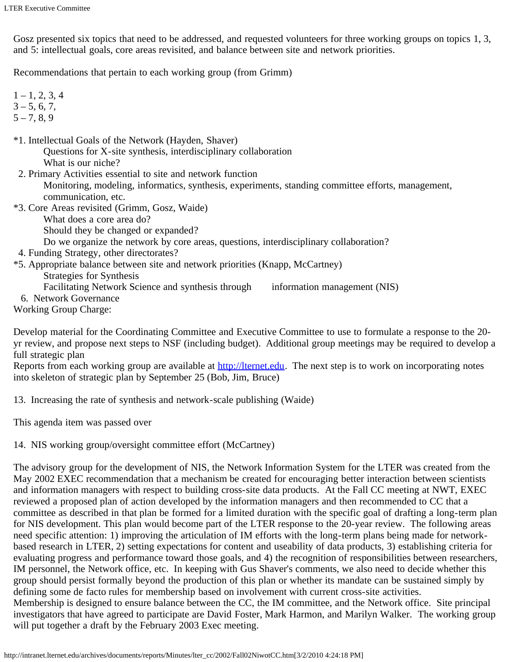Gosz presented six topics that need to be addressed, and requested volunteers for three working groups on topics 1, 3, and 5: intellectual goals, core areas revisited, and balance between site and network priorities.

Recommendations that pertain to each working group (from Grimm)

- $1 1, 2, 3, 4$  $3 - 5, 6, 7,$
- $5 7, 8, 9$
- \*1. Intellectual Goals of the Network (Hayden, Shaver) Questions for X-site synthesis, interdisciplinary collaboration What is our niche?
- 2. Primary Activities essential to site and network function Monitoring, modeling, informatics, synthesis, experiments, standing committee efforts, management, communication, etc.
- \*3. Core Areas revisited (Grimm, Gosz, Waide)
	- What does a core area do?
	- Should they be changed or expanded?
	- Do we organize the network by core areas, questions, interdisciplinary collaboration?
- 4. Funding Strategy, other directorates?
- \*5. Appropriate balance between site and network priorities (Knapp, McCartney) Strategies for Synthesis
	- Facilitating Network Science and synthesis through information management (NIS)
- 6. Network Governance

Working Group Charge:

Develop material for the Coordinating Committee and Executive Committee to use to formulate a response to the 20 yr review, and propose next steps to NSF (including budget). Additional group meetings may be required to develop a full strategic plan

Reports from each working group are available at **http://lternet.edu**. The next step is to work on incorporating notes into skeleton of strategic plan by September 25 (Bob, Jim, Bruce)

13. Increasing the rate of synthesis and network-scale publishing (Waide)

This agenda item was passed over

14. NIS working group/oversight committee effort (McCartney)

The advisory group for the development of NIS, the Network Information System for the LTER was created from the May 2002 EXEC recommendation that a mechanism be created for encouraging better interaction between scientists and information managers with respect to building cross-site data products. At the Fall CC meeting at NWT, EXEC reviewed a proposed plan of action developed by the information managers and then recommended to CC that a committee as described in that plan be formed for a limited duration with the specific goal of drafting a long-term plan for NIS development. This plan would become part of the LTER response to the 20-year review. The following areas need specific attention: 1) improving the articulation of IM efforts with the long-term plans being made for networkbased research in LTER, 2) setting expectations for content and useability of data products, 3) establishing criteria for evaluating progress and performance toward those goals, and 4) the recognition of responsibilities between researchers, IM personnel, the Network office, etc. In keeping with Gus Shaver's comments, we also need to decide whether this group should persist formally beyond the production of this plan or whether its mandate can be sustained simply by defining some de facto rules for membership based on involvement with current cross-site activities. Membership is designed to ensure balance between the CC, the IM committee, and the Network office. Site principal investigators that have agreed to participate are David Foster, Mark Harmon, and Marilyn Walker. The working group will put together a draft by the February 2003 Exec meeting.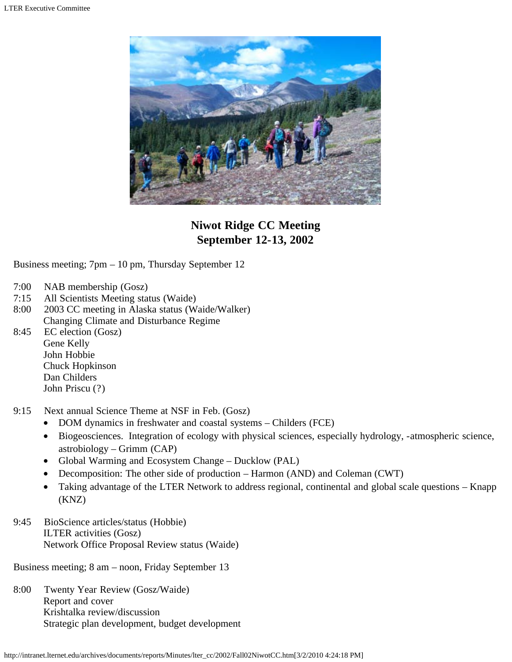

# **Niwot Ridge CC Meeting September 12-13, 2002**

Business meeting; 7pm – 10 pm, Thursday September 12

- 7:00 NAB membership (Gosz)
- 7:15 All Scientists Meeting status (Waide)
- 8:00 2003 CC meeting in Alaska status (Waide/Walker) Changing Climate and Disturbance Regime
- 8:45 EC election (Gosz) Gene Kelly John Hobbie Chuck Hopkinson Dan Childers John Priscu (?)
- 9:15 Next annual Science Theme at NSF in Feb. (Gosz)
	- DOM dynamics in freshwater and coastal systems Childers (FCE)
	- Biogeosciences. Integration of ecology with physical sciences, especially hydrology, -atmospheric science, astrobiology – Grimm (CAP)
	- Global Warming and Ecosystem Change Ducklow (PAL)
	- Decomposition: The other side of production Harmon (AND) and Coleman (CWT)
	- Taking advantage of the LTER Network to address regional, continental and global scale questions Knapp (KNZ)
- 9:45 BioScience articles/status (Hobbie) ILTER activities (Gosz) Network Office Proposal Review status (Waide)

Business meeting; 8 am – noon, Friday September 13

8:00 Twenty Year Review (Gosz/Waide) Report and cover Krishtalka review/discussion Strategic plan development, budget development